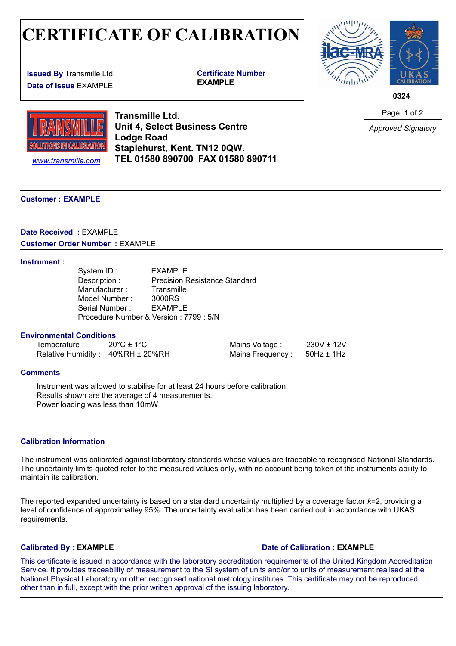## **CERTIFICATE OF CALIBRATION**  $\mathbb{E}(\bigcup_{\mathcal{A}} \mathbb{F} \cap \mathbb{F})$

**Issued By** Transmille Ltd. **Date of Issue** EXAMPLE

**Certificate Number** 



**0324** 



**Transmille Ltd. Unit 4, Select Business Centre Lodge Road Staplehurst, Kent. TN12 0QW.** *www.transmille.com* **TEL 01580 890700 FAX 01580 890711** Page 1 of 2

*Approved Signatory*

#### **C[ustomer : EXAMPLE](http://www.transmille.com)**

### **Date Received :** EXAMPLE **Customer Order Number :** EXAMPLE

#### **Instrument :**

| System ID:                              | EXAMPLE                              |
|-----------------------------------------|--------------------------------------|
| Description :                           | <b>Precision Resistance Standard</b> |
| Manufacturer:                           | Transmille                           |
| Model Number:                           | 3000RS                               |
| Serial Number:                          | EXAMPLE                              |
| Procedure Number & Version : 7799 : 5/N |                                      |

#### **Environmental Conditions**

| Temperature :                    | $20^{\circ}$ C ± 1 $^{\circ}$ C | Mains Voltage : $230V \pm 12V$     |  |
|----------------------------------|---------------------------------|------------------------------------|--|
| Relative Humidity: 40%RH ± 20%RH |                                 | Mains Frequency: $50$ Hz $\pm$ 1Hz |  |

#### **Comments**

Instrument was allowed to stabilise for at least 24 hours before calibration. Results shown are the average of 4 measurements. Power loading was less than 10mW

#### **Calibration Information**

The instrument was calibrated against laboratory standards whose values are traceable to recognised National Standards. The uncertainty limits quoted refer to the measured values only, with no account being taken of the instruments ability to maintain its calibration.

The reported expanded uncertainty is based on a standard uncertainty multiplied by a coverage factor *k*=2, providing a level of confidence of approximatley 95%. The uncertainty evaluation has been carried out in accordance with UKAS requirements.

### **Calibrated By : EXAMPLE Date of Calibration : EXAMPLE**

This certificate is issued in accordance with the laboratory accreditation requirements of the United Kingdom Accreditation Service. It provides traceability of measurement to the SI system of units and/or to units of measurement realised at the National Physical Laboratory or other recognised national metrology institutes. This certificate may not be reproduced other than in full, except with the prior written approval of the issuing laboratory.